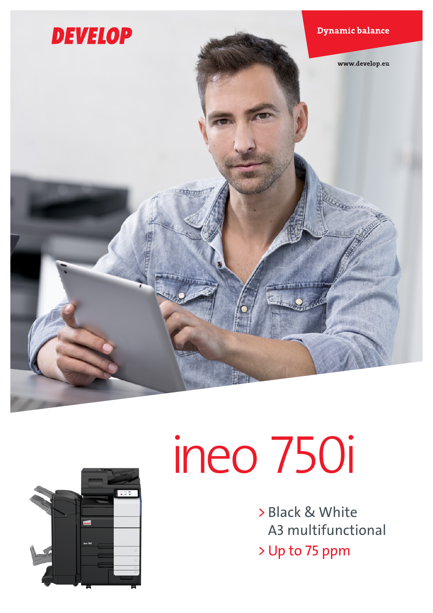



# ineo 750i

> Black & White A3 multifunctional > Up to 75 ppm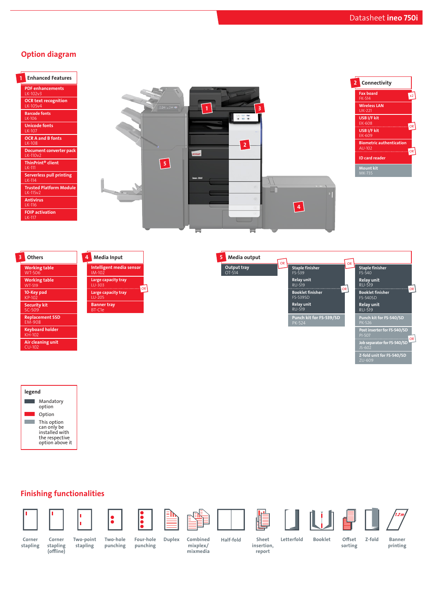# Option diagram











### Finishing functionalities











stapling

Corner stapling (offline)

Two-point stapling Two-hole punching

Four-hole punching Duplex Combined Corner Corner Two-point Two-hole Four-hole Duplex Combined Half-fold

mixplex/ mixmedia

Sheet Letterfold Booklet insertion,

Offset Z-fold sorting

Banner printing

report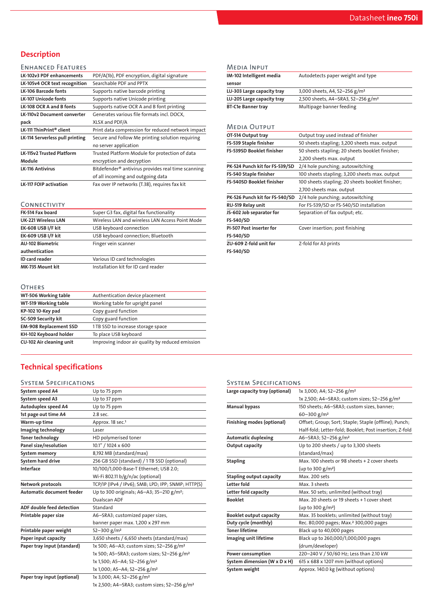# **Description**

#### ENHANCED FEATURES

| LK-102v3 PDF enhancements          | PDF/A(1b), PDF encryption, digital signature                   |
|------------------------------------|----------------------------------------------------------------|
| LK-105v4 OCR text recognition      | Searchable PDF and PPTX                                        |
| <b>LK-106 Barcode fonts</b>        | Supports native barcode printing                               |
| <b>LK-107 Unicode fonts</b>        | Supports native Unicode printing                               |
| LK-108 OCR A and B fonts           | Supports native OCR A and B font printing                      |
| <b>LK-110v2 Document converter</b> | Generates various file formats incl. DOCX.                     |
| pack                               | XLSX and PDF/A                                                 |
| LK-111 ThinPrint® client           | Print data compression for reduced network impact              |
| LK-114 Serverless pull printing    | Secure and Follow Me printing solution requiring               |
|                                    | no server application                                          |
| <b>LK-115v2 Trusted Platform</b>   | Trusted Platform Module for protection of data                 |
| Module                             | encryption and decryption                                      |
| <b>LK-116 Antivirus</b>            | Bitdefender <sup>®</sup> antivirus provides real time scanning |
|                                    | of all incoming and outgoing data                              |
| <b>LK-117 FOIP activation</b>      | Fax over IP networks (T.38), requires fax kit                  |
|                                    |                                                                |

#### **CONNECTIVITY**

| FK-514 Fax board           | Super G3 fax, digital fax functionality         |
|----------------------------|-------------------------------------------------|
| <b>UK-221 Wireless LAN</b> | Wireless LAN and wireless LAN Access Point Mode |
| EK-608 USB I/F kit         | USB keyboard connection                         |
| EK-609 USB I/F kit         | USB keyboard connection; Bluetooth              |
| <b>AU-102 Biometric</b>    | Finger vein scanner                             |
| authentication             |                                                 |
| ID card reader             | Various ID card technologies                    |
| MK-735 Mount kit           | Installation kit for ID card reader             |

#### **OTHERS**

| UINERS                        |                                                  |
|-------------------------------|--------------------------------------------------|
| WT-506 Working table          | Authentication device placement                  |
| WT-519 Working table          | Working table for upright panel                  |
| KP-102 10-Key pad             | Copy guard function                              |
| SC-509 Security kit           | Copy guard function                              |
| <b>EM-908 Replacement SSD</b> | 1TB SSD to increase storage space                |
| KH-102 Keyboard holder        | To place USB keyboard                            |
| CU-102 Air cleaning unit      | Improving indoor air quality by reduced emission |

# Technical specifications

#### System Specifications

| System speed A4                  | Up to 75 ppm                                             |
|----------------------------------|----------------------------------------------------------|
| System speed A3                  | Up to 37 ppm                                             |
| Autoduplex speed A4              | Up to 75 ppm                                             |
| 1st page out time A4             | $2.8$ sec.                                               |
| Warm-up time                     | Approx. 18 sec. <sup>1</sup>                             |
| Imaging technology               | Laser                                                    |
| <b>Toner technology</b>          | HD polymerised toner                                     |
| Panel size/resolution            | 10.1" / 1024 x 600                                       |
| System memory                    | 8,192 MB (standard/max)                                  |
| System hard drive                | 256 GB SSD (standard) / 1TB SSD (optional)               |
| Interface                        | 10/100/1,000-Base-T Ethernet; USB 2.0;                   |
|                                  | Wi-Fi 802.11 b/g/n/ac (optional)                         |
| Network protocols                | TCP/IP (IPv4 / IPv6); SMB; LPD; IPP; SNMP; HTTP(S)       |
| <b>Automatic document feeder</b> | Up to 300 originals; A6-A3; 35-210 g/m <sup>2</sup> ;    |
|                                  | Dualscan ADF                                             |
| <b>ADF double feed detection</b> | Standard                                                 |
| Printable paper size             | A6-SRA3; customized paper sizes,                         |
|                                  | banner paper max. 1,200 x 297 mm                         |
| Printable paper weight           | $52 - 300$ g/m <sup>2</sup>                              |
| Paper input capacity             | 3,650 sheets / 6,650 sheets (standard/max)               |
| Paper tray input (standard)      | 1x 500; A6-A3; custom sizes; 52-256 g/m <sup>2</sup>     |
|                                  | 1x 500; A5-SRA3; custom sizes; 52-256 g/m <sup>2</sup>   |
|                                  | 1x 1,500; A5-A4; 52-256 g/m <sup>2</sup>                 |
|                                  | 1x 1,000; A5-A4; 52-256 g/m <sup>2</sup>                 |
| Paper tray input (optional)      | 1x 3,000; A4; 52-256 g/m <sup>2</sup>                    |
|                                  | 1x 2,500; A4-SRA3; custom sizes; 52-256 g/m <sup>2</sup> |
|                                  |                                                          |

| <b>MEDIA INPUT</b>              |                                                  |
|---------------------------------|--------------------------------------------------|
| IM-102 Intelligent media        | Autodetects paper weight and type                |
| sensor                          |                                                  |
| LU-303 Large capacity tray      | 3,000 sheets, A4, 52-256 g/m <sup>2</sup>        |
| LU-205 Large capacity tray      | 2,500 sheets, A4-SRA3, 52-256 g/m <sup>2</sup>   |
| <b>BT-C1e Banner tray</b>       | Multipage banner feeding                         |
|                                 |                                                  |
| <b>MEDIA OUTPUT</b>             |                                                  |
| OT-514 Output tray              | Output tray used instead of finisher             |
| FS-539 Staple finisher          | 50 sheets stapling; 3,200 sheets max. output     |
| FS-539SD Booklet finisher       | 50 sheets stapling; 20 sheets booklet finisher;  |
|                                 | 2,200 sheets max. output                         |
| PK-524 Punch kit for FS-539/SD  | 2/4 hole punching; autoswitching                 |
| FS-540 Staple finisher          | 100 sheets stapling; 3,200 sheets max. output    |
| FS-540SD Booklet finisher       | 100 sheets stapling; 20 sheets booklet finisher; |
|                                 | 2,700 sheets max. output                         |
| PK-526 Punch kit for FS-540/SD  | 2/4 hole punching; autoswitching                 |
| RU-519 Relay unit               | For FS-539/SD or FS-540/SD installation          |
| JS-602 Job separator for        | Separation of fax output; etc.                   |
| FS-540/SD                       |                                                  |
| <b>PI-507 Post inserter for</b> | Cover insertion; post finishing                  |
| FS-540/SD                       |                                                  |
| ZU-609 Z-fold unit for          | Z-fold for A3 prints                             |

ZU-609 Z-fold unit for FS-540/SD

# System Specifications

| Large capacity tray (optional)  | 1x 3,000; A4; 52-256 g/m <sup>2</sup>                    |
|---------------------------------|----------------------------------------------------------|
|                                 | 1x 2,500; A4-SRA3; custom sizes; 52-256 g/m <sup>2</sup> |
| <b>Manual bypass</b>            | 150 sheets; A6-SRA3; custom sizes, banner;               |
|                                 | $60 - 300$ g/m <sup>2</sup>                              |
| Finishing modes (optional)      | Offset; Group; Sort; Staple; Staple (offline); Punch;    |
|                                 | Half-fold; Letter-fold; Booklet; Post insertion; Z-fold  |
| <b>Automatic duplexing</b>      | A6-SRA3; 52-256 g/m <sup>2</sup>                         |
| Output capacity                 | Up to 200 sheets / up to 3,300 sheets                    |
|                                 | (standard/max)                                           |
| <b>Stapling</b>                 | Max. 100 sheets or 98 sheets + 2 cover sheets            |
|                                 | (up to 300 g/m <sup>2</sup> )                            |
| <b>Stapling output capacity</b> | Max. 200 sets                                            |
| Letter fold                     | Max. 3 sheets                                            |
| Letter fold capacity            | Max. 50 sets; unlimited (without tray)                   |
| <b>Booklet</b>                  | Max. 20 sheets or 19 sheets +1 cover sheet               |
|                                 | (up to 300 $g/m^2$ )                                     |
| <b>Booklet output capacity</b>  | Max. 35 booklets; unlimited (without tray)               |
| Duty cycle (monthly)            | Rec. 80,000 pages; Max. <sup>2</sup> 300,000 pages       |
| <b>Toner lifetime</b>           | Black up to 40,000 pages                                 |
| Imaging unit lifetime           | Black up to 260,000/1,000,000 pages                      |
|                                 | (drum/developer)                                         |
| Power consumption               | 220-240 V / 50/60 Hz; Less than 2.10 kW                  |
| System dimension (W x D x H)    | 615 x 688 x 1207 mm (without options)                    |
| System weight                   | Approx. 140.0 kg (without options)                       |